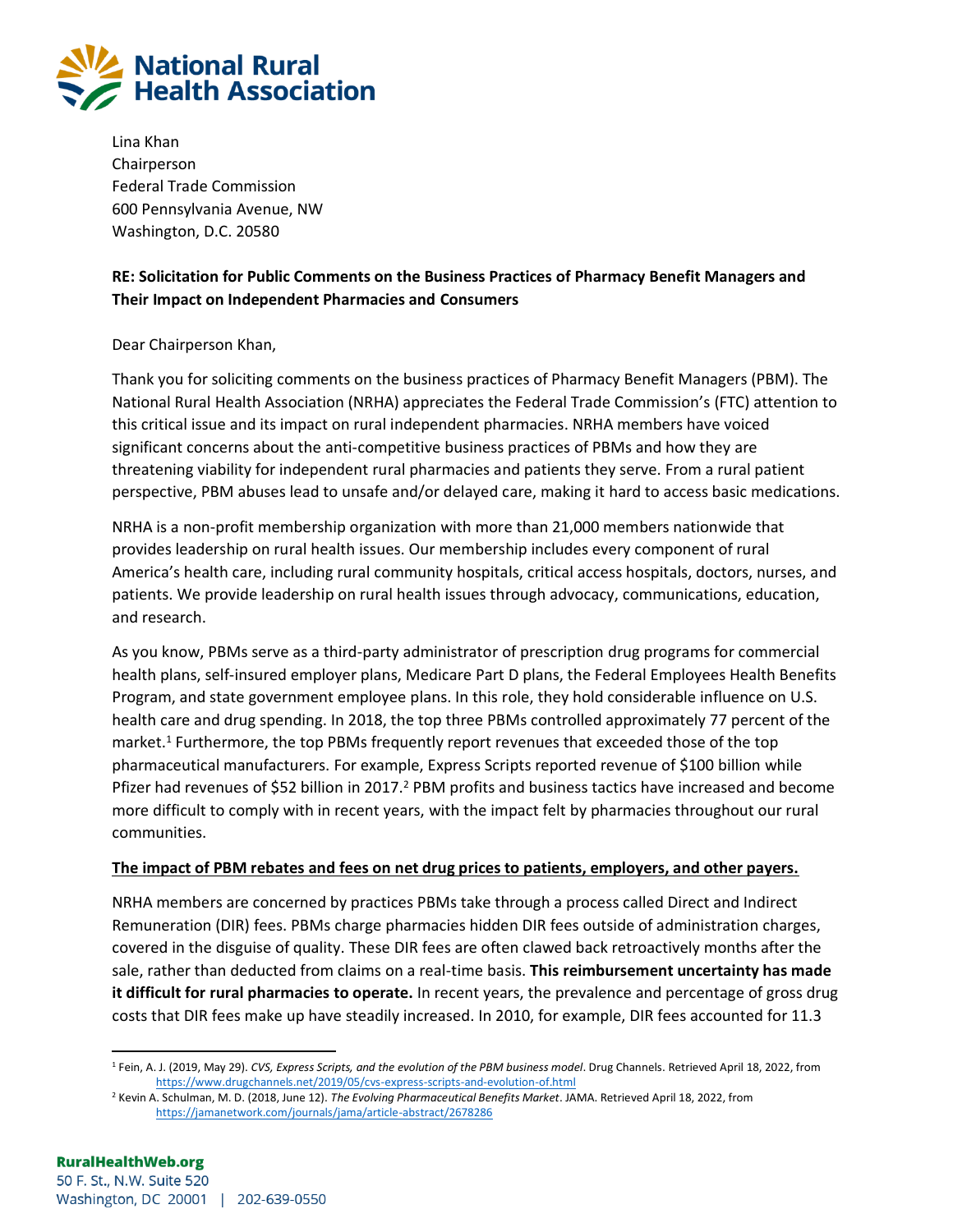

Lina Khan Chairperson Federal Trade Commission 600 Pennsylvania Avenue, NW Washington, D.C. 20580

## **RE: Solicitation for Public Comments on the Business Practices of Pharmacy Benefit Managers and Their Impact on Independent Pharmacies and Consumers**

### Dear Chairperson Khan,

Thank you for soliciting comments on the business practices of Pharmacy Benefit Managers (PBM). The National Rural Health Association (NRHA) appreciates the Federal Trade Commission's (FTC) attention to this critical issue and its impact on rural independent pharmacies. NRHA members have voiced significant concerns about the anti-competitive business practices of PBMs and how they are threatening viability for independent rural pharmacies and patients they serve. From a rural patient perspective, PBM abuses lead to unsafe and/or delayed care, making it hard to access basic medications.

NRHA is a non-profit membership organization with more than 21,000 members nationwide that provides leadership on rural health issues. Our membership includes every component of rural America's health care, including rural community hospitals, critical access hospitals, doctors, nurses, and patients. We provide leadership on rural health issues through advocacy, communications, education, and research.

As you know, PBMs serve as a third-party administrator of prescription drug programs for commercial health plans, self-insured employer plans, Medicare Part D plans, the Federal Employees Health Benefits Program, and state government employee plans. In this role, they hold considerable influence on U.S. health care and drug spending. In 2018, the top three PBMs controlled approximately 77 percent of the market.<sup>1</sup> Furthermore, the top PBMs frequently report revenues that exceeded those of the top pharmaceutical manufacturers. For example, Express Scripts reported revenue of \$100 billion while Pfizer had revenues of \$52 billion in 2017.<sup>2</sup> PBM profits and business tactics have increased and become more difficult to comply with in recent years, with the impact felt by pharmacies throughout our rural communities.

#### **The impact of PBM rebates and fees on net drug prices to patients, employers, and other payers.**

NRHA members are concerned by practices PBMs take through a process called Direct and Indirect Remuneration (DIR) fees. PBMs charge pharmacies hidden DIR fees outside of administration charges, covered in the disguise of quality. These DIR fees are often clawed back retroactively months after the sale, rather than deducted from claims on a real-time basis. **This reimbursement uncertainty has made it difficult for rural pharmacies to operate.** In recent years, the prevalence and percentage of gross drug costs that DIR fees make up have steadily increased. In 2010, for example, DIR fees accounted for 11.3

<sup>1</sup> Fein, A. J. (2019, May 29). *CVS, Express Scripts, and the evolution of the PBM business model*. Drug Channels. Retrieved April 18, 2022, from <https://www.drugchannels.net/2019/05/cvs-express-scripts-and-evolution-of.html>

<sup>2</sup> Kevin A. Schulman, M. D. (2018, June 12). *The Evolving Pharmaceutical Benefits Market*. JAMA. Retrieved April 18, 2022, from <https://jamanetwork.com/journals/jama/article-abstract/2678286>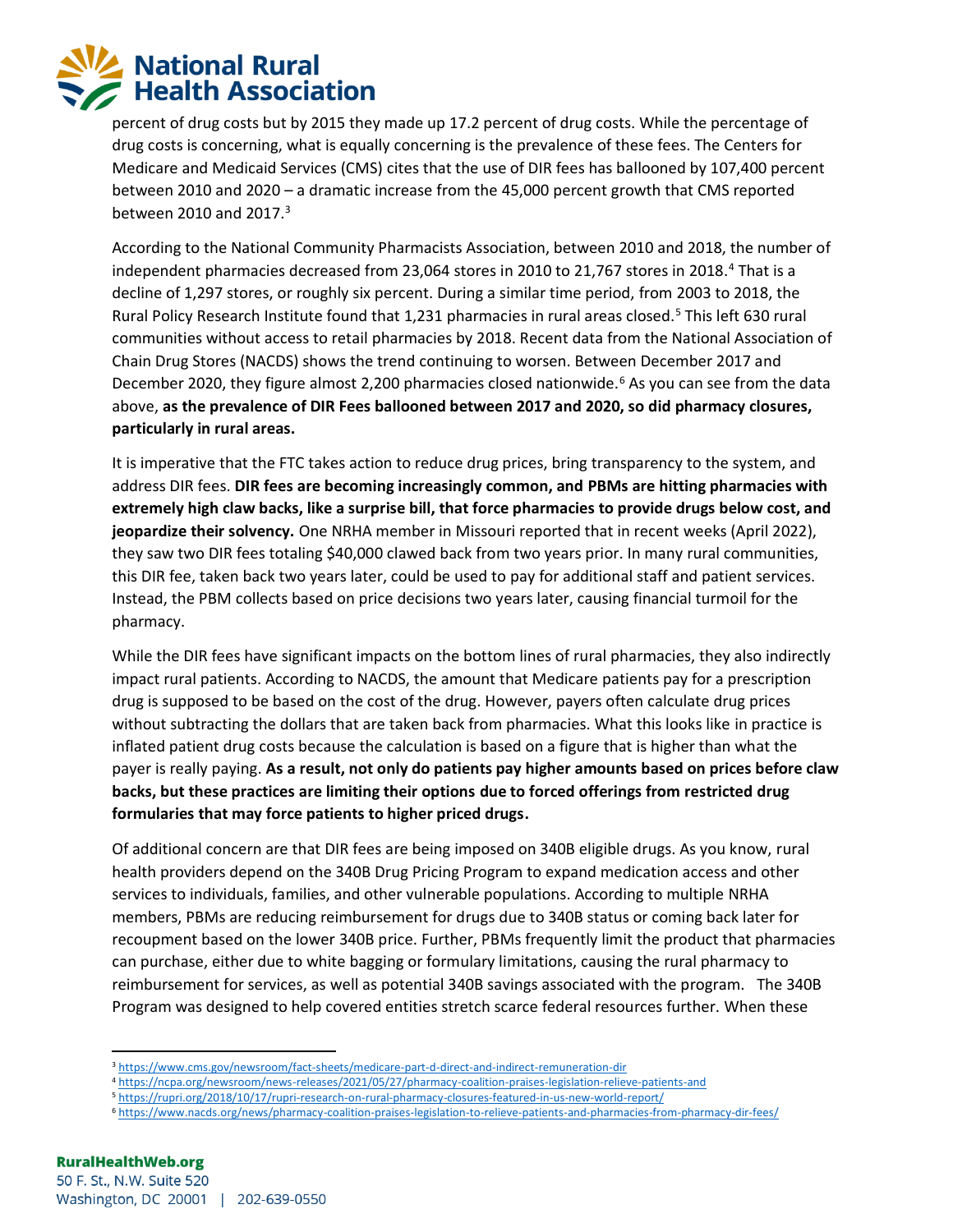# **National Rural Health Association**

percent of drug costs but by 2015 they made up 17.2 percent of drug costs. While the percentage of drug costs is concerning, what is equally concerning is the prevalence of these fees. The Centers for Medicare and Medicaid Services (CMS) cites that the use of DIR fees has ballooned by 107,400 percent between 2010 and 2020 – a dramatic increase from the 45,000 percent growth that CMS reported between 2010 and 2017.<sup>3</sup>

According to the National Community Pharmacists Association, between 2010 and 2018, the number of independent pharmacies decreased from 23,064 stores in 2010 to 21,767 stores in 2018.<sup>4</sup> That is a decline of 1,297 stores, or roughly six percent. During a similar time period, from 2003 to 2018, the Rural Policy Research Institute found that 1,231 pharmacies in rural areas closed.<sup>5</sup> This left 630 rural communities without access to retail pharmacies by 2018. Recent data from the National Association of Chain Drug Stores (NACDS) shows the trend continuing to worsen. Between December 2017 and December 2020, they figure almost 2,200 pharmacies closed nationwide.<sup>6</sup> As you can see from the data above, **as the prevalence of DIR Fees ballooned between 2017 and 2020, so did pharmacy closures, particularly in rural areas.** 

It is imperative that the FTC takes action to reduce drug prices, bring transparency to the system, and address DIR fees. **DIR fees are becoming increasingly common, and PBMs are hitting pharmacies with extremely high claw backs, like a surprise bill, that force pharmacies to provide drugs below cost, and jeopardize their solvency.** One NRHA member in Missouri reported that in recent weeks (April 2022), they saw two DIR fees totaling \$40,000 clawed back from two years prior. In many rural communities, this DIR fee, taken back two years later, could be used to pay for additional staff and patient services. Instead, the PBM collects based on price decisions two years later, causing financial turmoil for the pharmacy.

While the DIR fees have significant impacts on the bottom lines of rural pharmacies, they also indirectly impact rural patients. According to NACDS, the amount that Medicare patients pay for a prescription drug is supposed to be based on the cost of the drug. However, payers often calculate drug prices without subtracting the dollars that are taken back from pharmacies. What this looks like in practice is inflated patient drug costs because the calculation is based on a figure that is higher than what the payer is really paying. **As a result, not only do patients pay higher amounts based on prices before claw backs, but these practices are limiting their options due to forced offerings from restricted drug formularies that may force patients to higher priced drugs.** 

Of additional concern are that DIR fees are being imposed on 340B eligible drugs. As you know, rural health providers depend on the 340B Drug Pricing Program to expand medication access and other services to individuals, families, and other vulnerable populations. According to multiple NRHA members, PBMs are reducing reimbursement for drugs due to 340B status or coming back later for recoupment based on the lower 340B price. Further, PBMs frequently limit the product that pharmacies can purchase, either due to white bagging or formulary limitations, causing the rural pharmacy to reimbursement for services, as well as potential 340B savings associated with the program. The 340B Program was designed to help covered entities stretch scarce federal resources further. When these

<sup>3</sup> <https://www.cms.gov/newsroom/fact-sheets/medicare-part-d-direct-and-indirect-remuneration-dir>

<sup>4</sup> <https://ncpa.org/newsroom/news-releases/2021/05/27/pharmacy-coalition-praises-legislation-relieve-patients-and>

<sup>5</sup> <https://rupri.org/2018/10/17/rupri-research-on-rural-pharmacy-closures-featured-in-us-new-world-report/>

<sup>6</sup> <https://www.nacds.org/news/pharmacy-coalition-praises-legislation-to-relieve-patients-and-pharmacies-from-pharmacy-dir-fees/>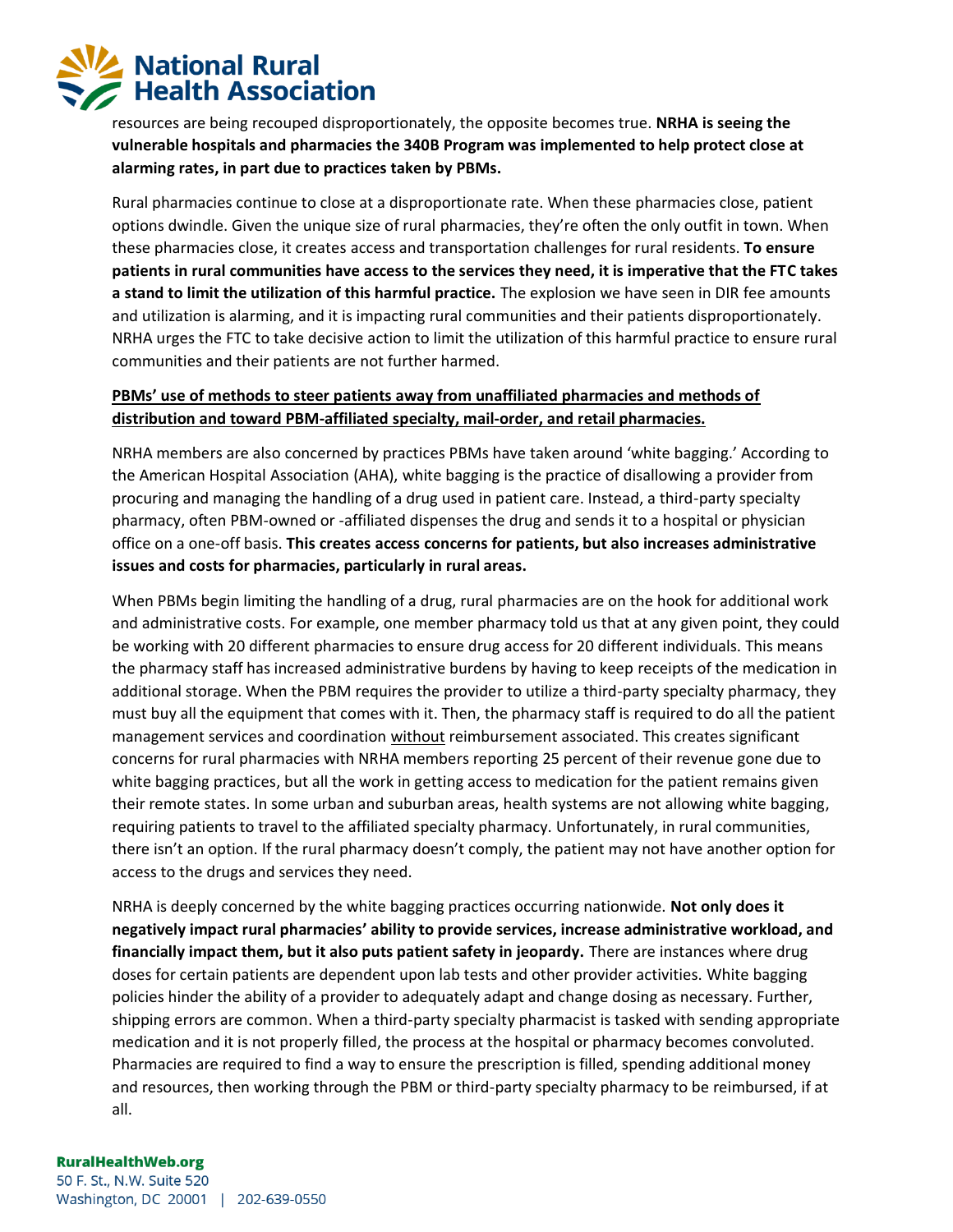## **National Rural Health Association**

resources are being recouped disproportionately, the opposite becomes true. **NRHA is seeing the vulnerable hospitals and pharmacies the 340B Program was implemented to help protect close at alarming rates, in part due to practices taken by PBMs.** 

Rural pharmacies continue to close at a disproportionate rate. When these pharmacies close, patient options dwindle. Given the unique size of rural pharmacies, they're often the only outfit in town. When these pharmacies close, it creates access and transportation challenges for rural residents. **To ensure patients in rural communities have access to the services they need, it is imperative that the FTC takes a stand to limit the utilization of this harmful practice.** The explosion we have seen in DIR fee amounts and utilization is alarming, and it is impacting rural communities and their patients disproportionately. NRHA urges the FTC to take decisive action to limit the utilization of this harmful practice to ensure rural communities and their patients are not further harmed.

### **PBMs' use of methods to steer patients away from unaffiliated pharmacies and methods of distribution and toward PBM-affiliated specialty, mail-order, and retail pharmacies.**

NRHA members are also concerned by practices PBMs have taken around 'white bagging.' According to the American Hospital Association (AHA), white bagging is the practice of disallowing a provider from procuring and managing the handling of a drug used in patient care. Instead, a third-party specialty pharmacy, often PBM-owned or -affiliated dispenses the drug and sends it to a hospital or physician office on a one-off basis. **This creates access concerns for patients, but also increases administrative issues and costs for pharmacies, particularly in rural areas.** 

When PBMs begin limiting the handling of a drug, rural pharmacies are on the hook for additional work and administrative costs. For example, one member pharmacy told us that at any given point, they could be working with 20 different pharmacies to ensure drug access for 20 different individuals. This means the pharmacy staff has increased administrative burdens by having to keep receipts of the medication in additional storage. When the PBM requires the provider to utilize a third-party specialty pharmacy, they must buy all the equipment that comes with it. Then, the pharmacy staff is required to do all the patient management services and coordination without reimbursement associated. This creates significant concerns for rural pharmacies with NRHA members reporting 25 percent of their revenue gone due to white bagging practices, but all the work in getting access to medication for the patient remains given their remote states. In some urban and suburban areas, health systems are not allowing white bagging, requiring patients to travel to the affiliated specialty pharmacy. Unfortunately, in rural communities, there isn't an option. If the rural pharmacy doesn't comply, the patient may not have another option for access to the drugs and services they need.

NRHA is deeply concerned by the white bagging practices occurring nationwide. **Not only does it negatively impact rural pharmacies' ability to provide services, increase administrative workload, and financially impact them, but it also puts patient safety in jeopardy.** There are instances where drug doses for certain patients are dependent upon lab tests and other provider activities. White bagging policies hinder the ability of a provider to adequately adapt and change dosing as necessary. Further, shipping errors are common. When a third-party specialty pharmacist is tasked with sending appropriate medication and it is not properly filled, the process at the hospital or pharmacy becomes convoluted. Pharmacies are required to find a way to ensure the prescription is filled, spending additional money and resources, then working through the PBM or third-party specialty pharmacy to be reimbursed, if at all.

#### **RuralHealthWeb.org**